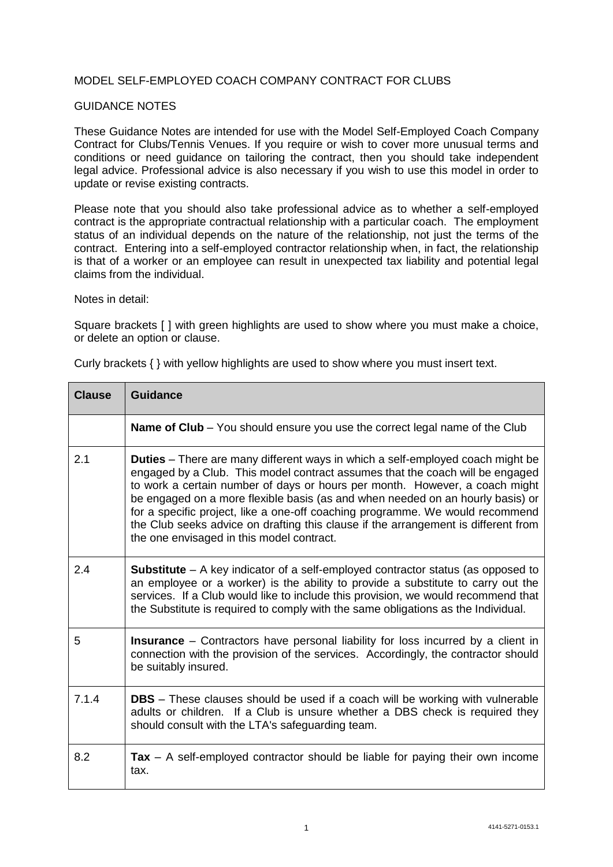## MODEL SELF-EMPLOYED COACH COMPANY CONTRACT FOR CLUBS

## GUIDANCE NOTES

These Guidance Notes are intended for use with the Model Self-Employed Coach Company Contract for Clubs/Tennis Venues. If you require or wish to cover more unusual terms and conditions or need guidance on tailoring the contract, then you should take independent legal advice. Professional advice is also necessary if you wish to use this model in order to update or revise existing contracts.

Please note that you should also take professional advice as to whether a self-employed contract is the appropriate contractual relationship with a particular coach. The employment status of an individual depends on the nature of the relationship, not just the terms of the contract. Entering into a self-employed contractor relationship when, in fact, the relationship is that of a worker or an employee can result in unexpected tax liability and potential legal claims from the individual.

Notes in detail:

Square brackets [ ] with green highlights are used to show where you must make a choice, or delete an option or clause.

| <b>Clause</b> | <b>Guidance</b>                                                                                                                                                                                                                                                                                                                                                                                                                                                                                                                                             |
|---------------|-------------------------------------------------------------------------------------------------------------------------------------------------------------------------------------------------------------------------------------------------------------------------------------------------------------------------------------------------------------------------------------------------------------------------------------------------------------------------------------------------------------------------------------------------------------|
|               | <b>Name of Club</b> – You should ensure you use the correct legal name of the Club                                                                                                                                                                                                                                                                                                                                                                                                                                                                          |
| 2.1           | <b>Duties</b> – There are many different ways in which a self-employed coach might be<br>engaged by a Club. This model contract assumes that the coach will be engaged<br>to work a certain number of days or hours per month. However, a coach might<br>be engaged on a more flexible basis (as and when needed on an hourly basis) or<br>for a specific project, like a one-off coaching programme. We would recommend<br>the Club seeks advice on drafting this clause if the arrangement is different from<br>the one envisaged in this model contract. |
| 2.4           | <b>Substitute</b> – A key indicator of a self-employed contractor status (as opposed to<br>an employee or a worker) is the ability to provide a substitute to carry out the<br>services. If a Club would like to include this provision, we would recommend that<br>the Substitute is required to comply with the same obligations as the Individual.                                                                                                                                                                                                       |
| 5             | <b>Insurance</b> – Contractors have personal liability for loss incurred by a client in<br>connection with the provision of the services. Accordingly, the contractor should<br>be suitably insured.                                                                                                                                                                                                                                                                                                                                                        |
| 7.1.4         | <b>DBS</b> – These clauses should be used if a coach will be working with vulnerable<br>adults or children. If a Club is unsure whether a DBS check is required they<br>should consult with the LTA's safeguarding team.                                                                                                                                                                                                                                                                                                                                    |
| 8.2           | $\text{Tax} - A$ self-employed contractor should be liable for paying their own income<br>tax.                                                                                                                                                                                                                                                                                                                                                                                                                                                              |

Curly brackets { } with yellow highlights are used to show where you must insert text.